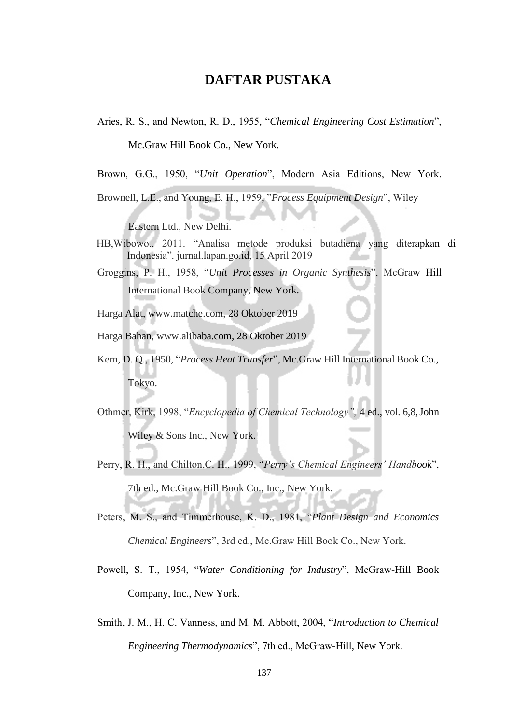## **DAFTAR PUSTAKA**

Aries, R. S., and Newton, R. D., 1955, "*Chemical Engineering Cost Estimation*",

Mc.Graw Hill Book Co., New York.

Brown, G.G., 1950, "*Unit Operation*", Modern Asia Editions, New York.

Brownell, L.E., and Young, E. H., 1959, "*Process Equipment Design*", Wiley

Eastern Ltd., New Delhi.

- HB,Wibowo., 2011. "Analisa metode produksi butadiena yang diterapkan di Indonesia". jurnal.lapan.go.id, 15 April 2019
- Groggins, P. H., 1958, "*Unit Processes in Organic Synthesis*", McGraw Hill International Book Company, New York.
- Harga Alat, [www.matche.com, 2](http://www.matche.com/)8 Oktober 2019
- Harga Bahan, [www.alibaba.com, 2](http://www.alibaba.com/)8 Oktober 2019
- Kern, D. Q., 1950, "*Process Heat Transfer*", Mc.Graw Hill International Book Co., Tokyo.
- Othmer, Kirk, 1998, "*Encyclopedia of Chemical Technology",* 4 ed., vol. 6,8, John Wiley & Sons Inc., New York.
- Perry, R. H., and Chilton,C. H., 1999, "*Perry's Chemical Engineers' Handbook*", 7th ed., Mc.Graw Hill Book Co., Inc., New York.
- Peters, M. S., and Timmerhouse, K. D., 1981, "*Plant Design and Economics Chemical Engineers*", 3rd ed., Mc.Graw Hill Book Co., New York.
- Powell, S. T., 1954, "*Water Conditioning for Industry*", McGraw-Hill Book Company, Inc., New York.
- Smith, J. M., H. C. Vanness, and M. M. Abbott, 2004, "*Introduction to Chemical Engineering Thermodynamics*", 7th ed., McGraw-Hill, New York.